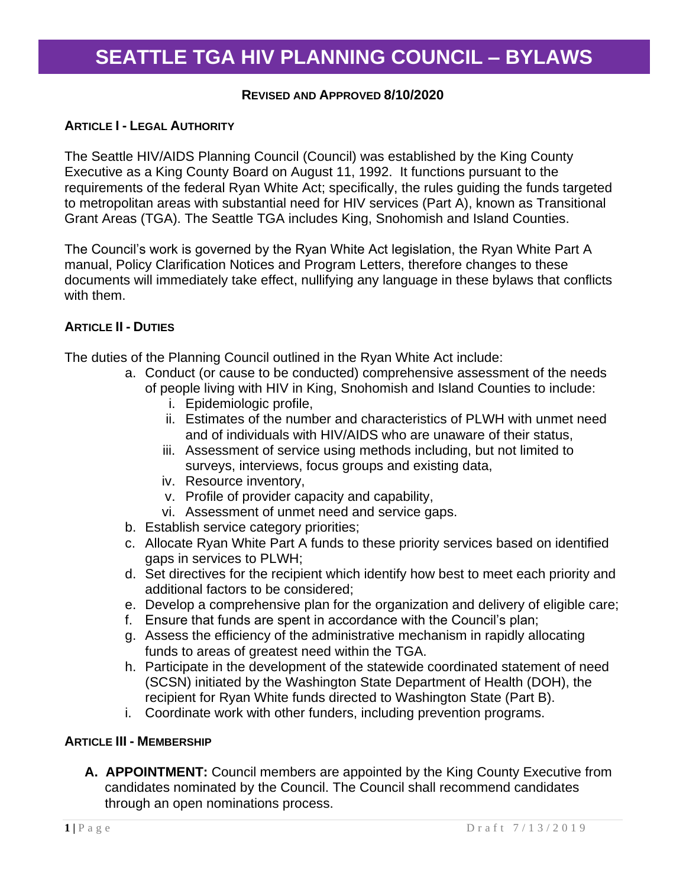#### **REVISED AND APPROVED 8/10/2020**

#### **ARTICLE I - LEGAL AUTHORITY**

The Seattle HIV/AIDS Planning Council (Council) was established by the King County Executive as a King County Board on August 11, 1992. It functions pursuant to the requirements of the federal Ryan White Act; specifically, the rules guiding the funds targeted to metropolitan areas with substantial need for HIV services (Part A), known as Transitional Grant Areas (TGA). The Seattle TGA includes King, Snohomish and Island Counties.

The Council's work is governed by the Ryan White Act legislation, the Ryan White Part A manual, Policy Clarification Notices and Program Letters, therefore changes to these documents will immediately take effect, nullifying any language in these bylaws that conflicts with them.

#### **ARTICLE II - DUTIES**

The duties of the Planning Council outlined in the Ryan White Act include:

- a. Conduct (or cause to be conducted) comprehensive assessment of the needs of people living with HIV in King, Snohomish and Island Counties to include:
	- i. Epidemiologic profile,
	- ii. Estimates of the number and characteristics of PLWH with unmet need and of individuals with HIV/AIDS who are unaware of their status,
	- iii. Assessment of service using methods including, but not limited to surveys, interviews, focus groups and existing data,
	- iv. Resource inventory,
	- v. Profile of provider capacity and capability,
	- vi. Assessment of unmet need and service gaps.
- b. Establish service category priorities;
- c. Allocate Ryan White Part A funds to these priority services based on identified gaps in services to PLWH;
- d. Set directives for the recipient which identify how best to meet each priority and additional factors to be considered;
- e. Develop a comprehensive plan for the organization and delivery of eligible care;
- f. Ensure that funds are spent in accordance with the Council's plan;
- g. Assess the efficiency of the administrative mechanism in rapidly allocating funds to areas of greatest need within the TGA.
- h. Participate in the development of the statewide coordinated statement of need (SCSN) initiated by the Washington State Department of Health (DOH), the recipient for Ryan White funds directed to Washington State (Part B).
- i. Coordinate work with other funders, including prevention programs.

#### **ARTICLE III - MEMBERSHIP**

**A. APPOINTMENT:** Council members are appointed by the King County Executive from candidates nominated by the Council. The Council shall recommend candidates through an open nominations process.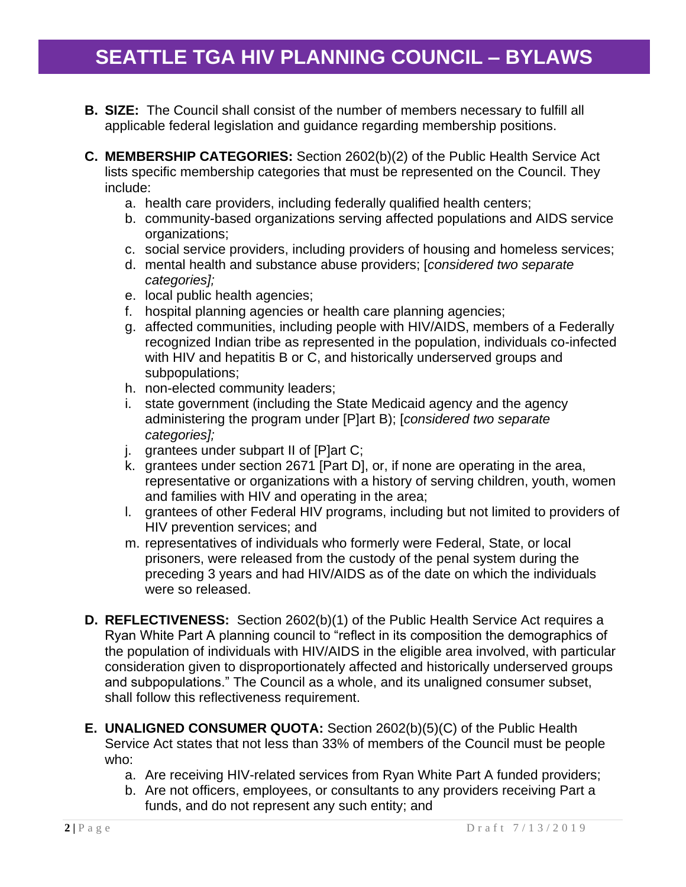- **B. SIZE:** The Council shall consist of the number of members necessary to fulfill all applicable federal legislation and guidance regarding membership positions.
- **C. MEMBERSHIP CATEGORIES:** Section 2602(b)(2) of the Public Health Service Act lists specific membership categories that must be represented on the Council. They include:
	- a. health care providers, including federally qualified health centers;
	- b. community-based organizations serving affected populations and AIDS service organizations;
	- c. social service providers, including providers of housing and homeless services;
	- d. mental health and substance abuse providers; [*considered two separate categories];*
	- e. local public health agencies;
	- f. hospital planning agencies or health care planning agencies;
	- g. affected communities, including people with HIV/AIDS, members of a Federally recognized Indian tribe as represented in the population, individuals co-infected with HIV and hepatitis B or C, and historically underserved groups and subpopulations;
	- h. non-elected community leaders;
	- i. state government (including the State Medicaid agency and the agency administering the program under [P]art B); [*considered two separate categories];*
	- j. grantees under subpart II of [P]art C;
	- k. grantees under section 2671 [Part D], or, if none are operating in the area, representative or organizations with a history of serving children, youth, women and families with HIV and operating in the area;
	- l. grantees of other Federal HIV programs, including but not limited to providers of HIV prevention services; and
	- m. representatives of individuals who formerly were Federal, State, or local prisoners, were released from the custody of the penal system during the preceding 3 years and had HIV/AIDS as of the date on which the individuals were so released.
- **D. REFLECTIVENESS:** Section 2602(b)(1) of the Public Health Service Act requires a Ryan White Part A planning council to "reflect in its composition the demographics of the population of individuals with HIV/AIDS in the eligible area involved, with particular consideration given to disproportionately affected and historically underserved groups and subpopulations." The Council as a whole, and its unaligned consumer subset, shall follow this reflectiveness requirement.
- **E. UNALIGNED CONSUMER QUOTA:** Section 2602(b)(5)(C) of the Public Health Service Act states that not less than 33% of members of the Council must be people who:
	- a. Are receiving HIV-related services from Ryan White Part A funded providers;
	- b. Are not officers, employees, or consultants to any providers receiving Part a funds, and do not represent any such entity; and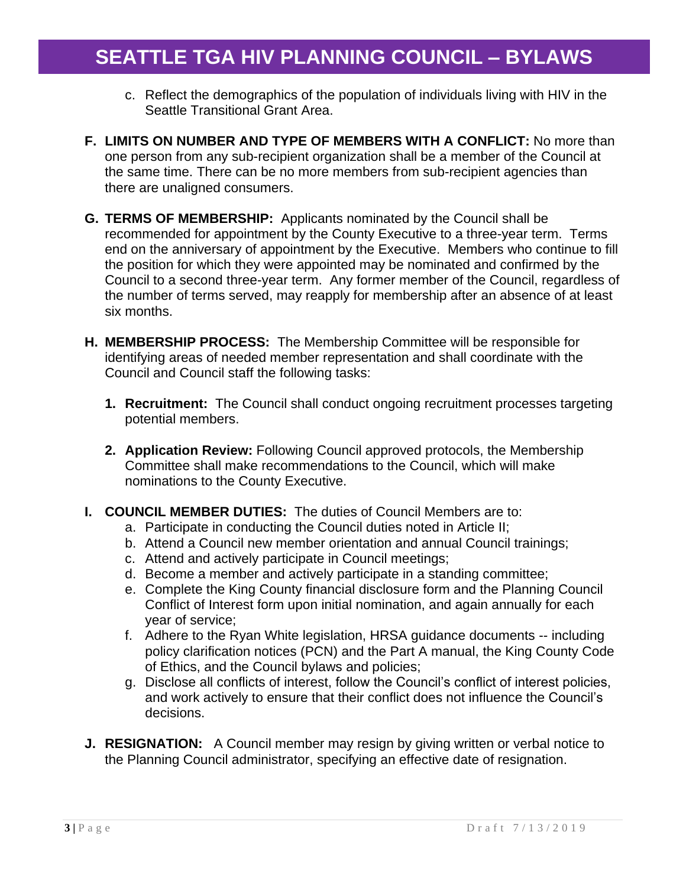- c. Reflect the demographics of the population of individuals living with HIV in the Seattle Transitional Grant Area.
- **F. LIMITS ON NUMBER AND TYPE OF MEMBERS WITH A CONFLICT:** No more than one person from any sub-recipient organization shall be a member of the Council at the same time. There can be no more members from sub-recipient agencies than there are unaligned consumers.
- **G. TERMS OF MEMBERSHIP:** Applicants nominated by the Council shall be recommended for appointment by the County Executive to a three-year term. Terms end on the anniversary of appointment by the Executive. Members who continue to fill the position for which they were appointed may be nominated and confirmed by the Council to a second three-year term. Any former member of the Council, regardless of the number of terms served, may reapply for membership after an absence of at least six months.
- **H. MEMBERSHIP PROCESS:** The Membership Committee will be responsible for identifying areas of needed member representation and shall coordinate with the Council and Council staff the following tasks:
	- **1. Recruitment:** The Council shall conduct ongoing recruitment processes targeting potential members.
	- **2. Application Review:** Following Council approved protocols, the Membership Committee shall make recommendations to the Council, which will make nominations to the County Executive.
- **I. COUNCIL MEMBER DUTIES:** The duties of Council Members are to:
	- a. Participate in conducting the Council duties noted in Article II;
	- b. Attend a Council new member orientation and annual Council trainings;
	- c. Attend and actively participate in Council meetings;
	- d. Become a member and actively participate in a standing committee;
	- e. Complete the King County financial disclosure form and the Planning Council Conflict of Interest form upon initial nomination, and again annually for each year of service;
	- f. Adhere to the Ryan White legislation, HRSA guidance documents -- including policy clarification notices (PCN) and the Part A manual, the King County Code of Ethics, and the Council bylaws and policies;
	- g. Disclose all conflicts of interest, follow the Council's conflict of interest policies, and work actively to ensure that their conflict does not influence the Council's decisions.
- **J. RESIGNATION:** A Council member may resign by giving written or verbal notice to the Planning Council administrator, specifying an effective date of resignation.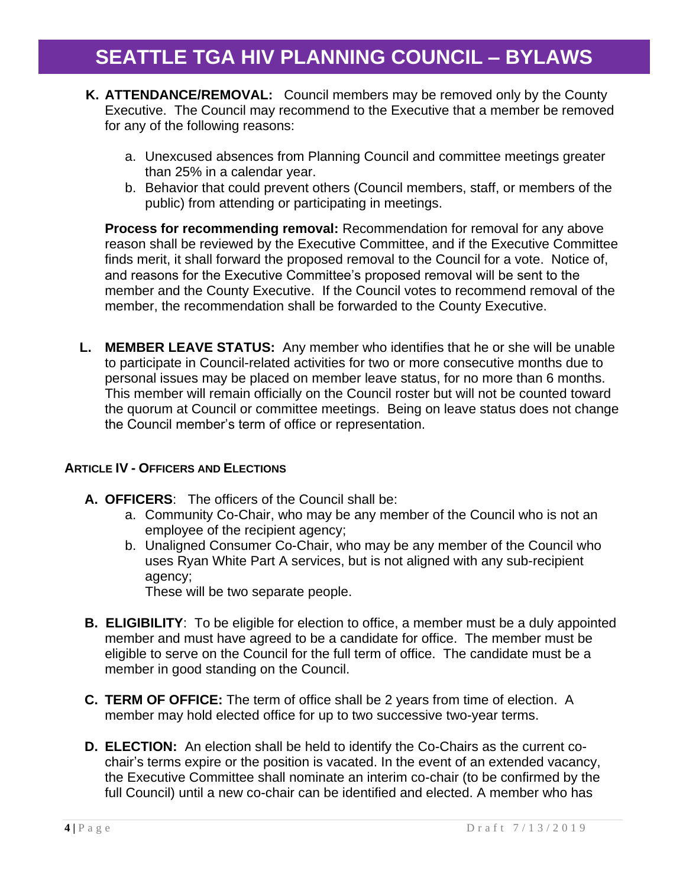- **K. ATTENDANCE/REMOVAL:** Council members may be removed only by the County Executive. The Council may recommend to the Executive that a member be removed for any of the following reasons:
	- a. Unexcused absences from Planning Council and committee meetings greater than 25% in a calendar year.
	- b. Behavior that could prevent others (Council members, staff, or members of the public) from attending or participating in meetings.

**Process for recommending removal:** Recommendation for removal for any above reason shall be reviewed by the Executive Committee, and if the Executive Committee finds merit, it shall forward the proposed removal to the Council for a vote. Notice of, and reasons for the Executive Committee's proposed removal will be sent to the member and the County Executive. If the Council votes to recommend removal of the member, the recommendation shall be forwarded to the County Executive.

**L. MEMBER LEAVE STATUS:** Any member who identifies that he or she will be unable to participate in Council-related activities for two or more consecutive months due to personal issues may be placed on member leave status, for no more than 6 months. This member will remain officially on the Council roster but will not be counted toward the quorum at Council or committee meetings. Being on leave status does not change the Council member's term of office or representation.

#### **ARTICLE IV - OFFICERS AND ELECTIONS**

- **A. OFFICERS**: The officers of the Council shall be:
	- a. Community Co-Chair, who may be any member of the Council who is not an employee of the recipient agency;
	- b. Unaligned Consumer Co-Chair, who may be any member of the Council who uses Ryan White Part A services, but is not aligned with any sub-recipient agency;

These will be two separate people.

- **B. ELIGIBILITY**: To be eligible for election to office, a member must be a duly appointed member and must have agreed to be a candidate for office. The member must be eligible to serve on the Council for the full term of office. The candidate must be a member in good standing on the Council.
- **C. TERM OF OFFICE:** The term of office shall be 2 years from time of election. A member may hold elected office for up to two successive two-year terms.
- **D. ELECTION:** An election shall be held to identify the Co-Chairs as the current cochair's terms expire or the position is vacated. In the event of an extended vacancy, the Executive Committee shall nominate an interim co-chair (to be confirmed by the full Council) until a new co-chair can be identified and elected. A member who has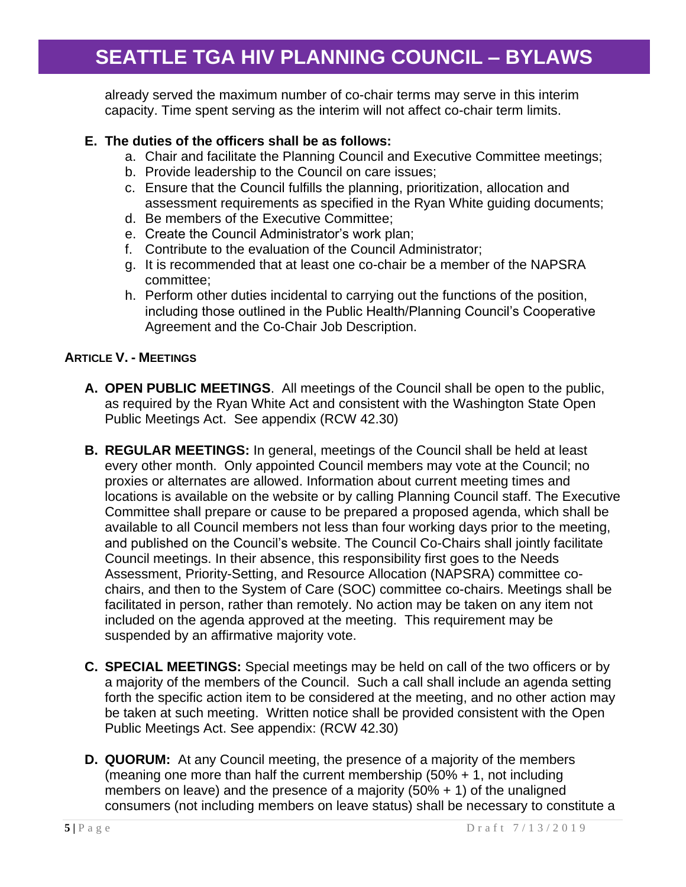already served the maximum number of co-chair terms may serve in this interim capacity. Time spent serving as the interim will not affect co-chair term limits.

### **E. The duties of the officers shall be as follows:**

- a. Chair and facilitate the Planning Council and Executive Committee meetings;
- b. Provide leadership to the Council on care issues;
- c. Ensure that the Council fulfills the planning, prioritization, allocation and assessment requirements as specified in the Ryan White guiding documents;
- d. Be members of the Executive Committee;
- e. Create the Council Administrator's work plan;
- f. Contribute to the evaluation of the Council Administrator;
- g. It is recommended that at least one co-chair be a member of the NAPSRA committee;
- h. Perform other duties incidental to carrying out the functions of the position, including those outlined in the Public Health/Planning Council's Cooperative Agreement and the Co-Chair Job Description.

#### **ARTICLE V. - MEETINGS**

- **A. OPEN PUBLIC MEETINGS**. All meetings of the Council shall be open to the public, as required by the Ryan White Act and consistent with the Washington State Open Public Meetings Act. See appendix (RCW 42.30)
- **B. REGULAR MEETINGS:** In general, meetings of the Council shall be held at least every other month. Only appointed Council members may vote at the Council; no proxies or alternates are allowed. Information about current meeting times and locations is available on the website or by calling Planning Council staff. The Executive Committee shall prepare or cause to be prepared a proposed agenda, which shall be available to all Council members not less than four working days prior to the meeting, and published on the Council's website. The Council Co-Chairs shall jointly facilitate Council meetings. In their absence, this responsibility first goes to the Needs Assessment, Priority-Setting, and Resource Allocation (NAPSRA) committee cochairs, and then to the System of Care (SOC) committee co-chairs. Meetings shall be facilitated in person, rather than remotely. No action may be taken on any item not included on the agenda approved at the meeting. This requirement may be suspended by an affirmative majority vote.
- **C. SPECIAL MEETINGS:** Special meetings may be held on call of the two officers or by a majority of the members of the Council. Such a call shall include an agenda setting forth the specific action item to be considered at the meeting, and no other action may be taken at such meeting. Written notice shall be provided consistent with the Open Public Meetings Act. See appendix: (RCW 42.30)
- **D. QUORUM:** At any Council meeting, the presence of a majority of the members (meaning one more than half the current membership (50% + 1, not including members on leave) and the presence of a majority  $(50\% + 1)$  of the unaligned consumers (not including members on leave status) shall be necessary to constitute a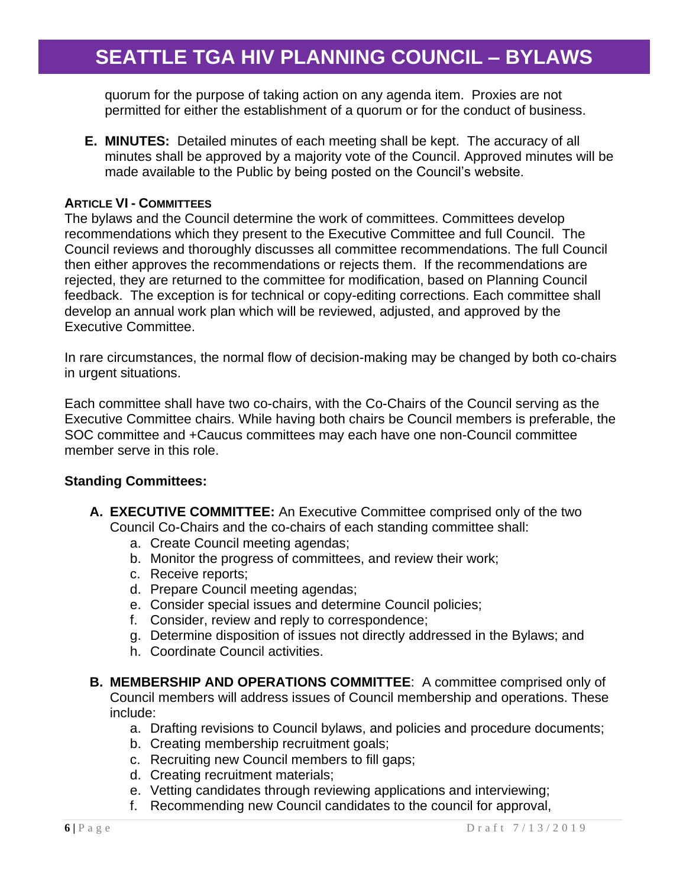quorum for the purpose of taking action on any agenda item. Proxies are not permitted for either the establishment of a quorum or for the conduct of business.

**E. MINUTES:** Detailed minutes of each meeting shall be kept. The accuracy of all minutes shall be approved by a majority vote of the Council. Approved minutes will be made available to the Public by being posted on the Council's website.

#### **ARTICLE VI - COMMITTEES**

The bylaws and the Council determine the work of committees. Committees develop recommendations which they present to the Executive Committee and full Council. The Council reviews and thoroughly discusses all committee recommendations. The full Council then either approves the recommendations or rejects them. If the recommendations are rejected, they are returned to the committee for modification, based on Planning Council feedback. The exception is for technical or copy-editing corrections. Each committee shall develop an annual work plan which will be reviewed, adjusted, and approved by the Executive Committee.

In rare circumstances, the normal flow of decision-making may be changed by both co-chairs in urgent situations.

Each committee shall have two co-chairs, with the Co-Chairs of the Council serving as the Executive Committee chairs. While having both chairs be Council members is preferable, the SOC committee and +Caucus committees may each have one non-Council committee member serve in this role.

#### **Standing Committees:**

- **A. EXECUTIVE COMMITTEE:** An Executive Committee comprised only of the two Council Co-Chairs and the co-chairs of each standing committee shall:
	- a. Create Council meeting agendas;
	- b. Monitor the progress of committees, and review their work;
	- c. Receive reports;
	- d. Prepare Council meeting agendas;
	- e. Consider special issues and determine Council policies;
	- f. Consider, review and reply to correspondence;
	- g. Determine disposition of issues not directly addressed in the Bylaws; and
	- h. Coordinate Council activities.
- **B. MEMBERSHIP AND OPERATIONS COMMITTEE**: A committee comprised only of Council members will address issues of Council membership and operations. These include:
	- a. Drafting revisions to Council bylaws, and policies and procedure documents;
	- b. Creating membership recruitment goals;
	- c. Recruiting new Council members to fill gaps;
	- d. Creating recruitment materials;
	- e. Vetting candidates through reviewing applications and interviewing;
	- f. Recommending new Council candidates to the council for approval,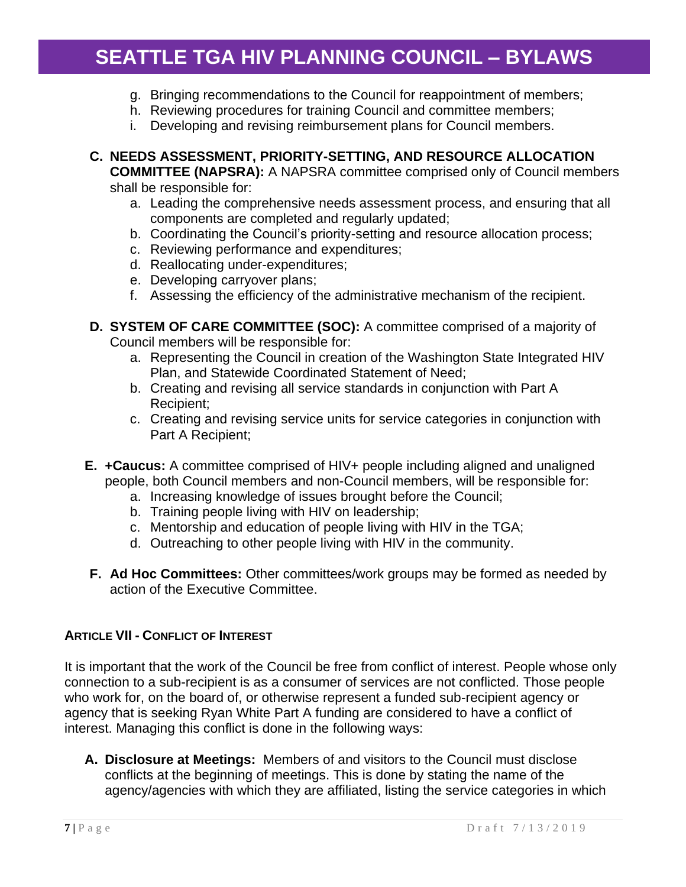- g. Bringing recommendations to the Council for reappointment of members;
- h. Reviewing procedures for training Council and committee members;
- i. Developing and revising reimbursement plans for Council members.
- **C. NEEDS ASSESSMENT, PRIORITY-SETTING, AND RESOURCE ALLOCATION COMMITTEE (NAPSRA):** A NAPSRA committee comprised only of Council members shall be responsible for:
	- a. Leading the comprehensive needs assessment process, and ensuring that all components are completed and regularly updated;
	- b. Coordinating the Council's priority-setting and resource allocation process;
	- c. Reviewing performance and expenditures;
	- d. Reallocating under-expenditures;
	- e. Developing carryover plans;
	- f. Assessing the efficiency of the administrative mechanism of the recipient.
- **D. SYSTEM OF CARE COMMITTEE (SOC):** A committee comprised of a majority of Council members will be responsible for:
	- a. Representing the Council in creation of the Washington State Integrated HIV Plan, and Statewide Coordinated Statement of Need;
	- b. Creating and revising all service standards in conjunction with Part A Recipient;
	- c. Creating and revising service units for service categories in conjunction with Part A Recipient;
- **E. +Caucus:** A committee comprised of HIV+ people including aligned and unaligned people, both Council members and non-Council members, will be responsible for:
	- a. Increasing knowledge of issues brought before the Council;
	- b. Training people living with HIV on leadership;
	- c. Mentorship and education of people living with HIV in the TGA;
	- d. Outreaching to other people living with HIV in the community.
- **F. Ad Hoc Committees:** Other committees/work groups may be formed as needed by action of the Executive Committee.

### **ARTICLE VII - CONFLICT OF INTEREST**

It is important that the work of the Council be free from conflict of interest. People whose only connection to a sub-recipient is as a consumer of services are not conflicted. Those people who work for, on the board of, or otherwise represent a funded sub-recipient agency or agency that is seeking Ryan White Part A funding are considered to have a conflict of interest. Managing this conflict is done in the following ways:

**A. Disclosure at Meetings:** Members of and visitors to the Council must disclose conflicts at the beginning of meetings. This is done by stating the name of the agency/agencies with which they are affiliated, listing the service categories in which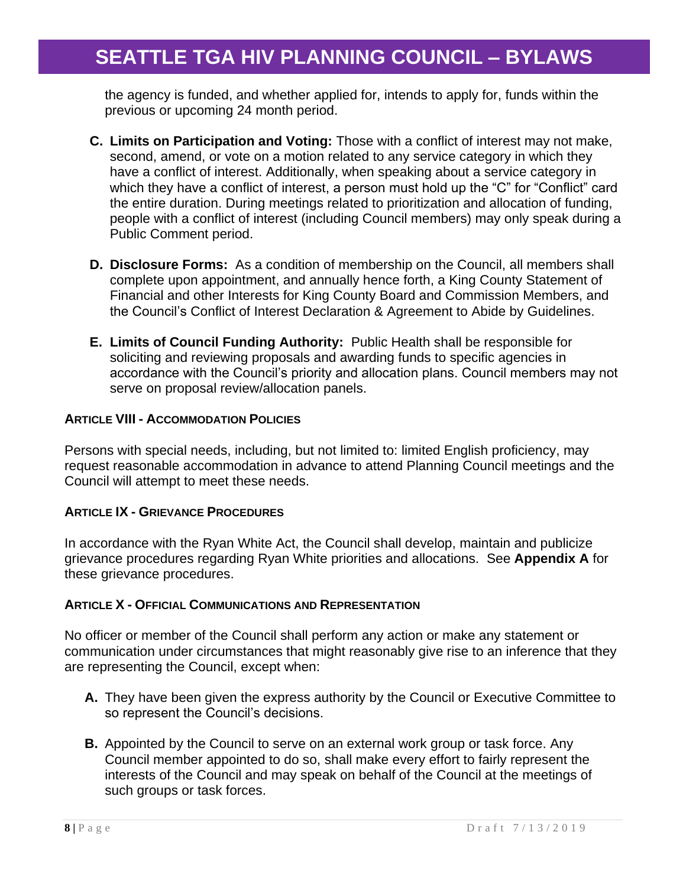the agency is funded, and whether applied for, intends to apply for, funds within the previous or upcoming 24 month period.

- **C. Limits on Participation and Voting:** Those with a conflict of interest may not make, second, amend, or vote on a motion related to any service category in which they have a conflict of interest. Additionally, when speaking about a service category in which they have a conflict of interest, a person must hold up the "C" for "Conflict" card the entire duration. During meetings related to prioritization and allocation of funding, people with a conflict of interest (including Council members) may only speak during a Public Comment period.
- **D. Disclosure Forms:** As a condition of membership on the Council, all members shall complete upon appointment, and annually hence forth, a King County Statement of Financial and other Interests for King County Board and Commission Members, and the Council's Conflict of Interest Declaration & Agreement to Abide by Guidelines.
- **E. Limits of Council Funding Authority:** Public Health shall be responsible for soliciting and reviewing proposals and awarding funds to specific agencies in accordance with the Council's priority and allocation plans. Council members may not serve on proposal review/allocation panels.

#### **ARTICLE VIII - ACCOMMODATION POLICIES**

Persons with special needs, including, but not limited to: limited English proficiency, may request reasonable accommodation in advance to attend Planning Council meetings and the Council will attempt to meet these needs.

#### **ARTICLE IX - GRIEVANCE PROCEDURES**

In accordance with the Ryan White Act, the Council shall develop, maintain and publicize grievance procedures regarding Ryan White priorities and allocations. See **Appendix A** for these grievance procedures.

#### **ARTICLE X - OFFICIAL COMMUNICATIONS AND REPRESENTATION**

No officer or member of the Council shall perform any action or make any statement or communication under circumstances that might reasonably give rise to an inference that they are representing the Council, except when:

- **A.** They have been given the express authority by the Council or Executive Committee to so represent the Council's decisions.
- **B.** Appointed by the Council to serve on an external work group or task force. Any Council member appointed to do so, shall make every effort to fairly represent the interests of the Council and may speak on behalf of the Council at the meetings of such groups or task forces.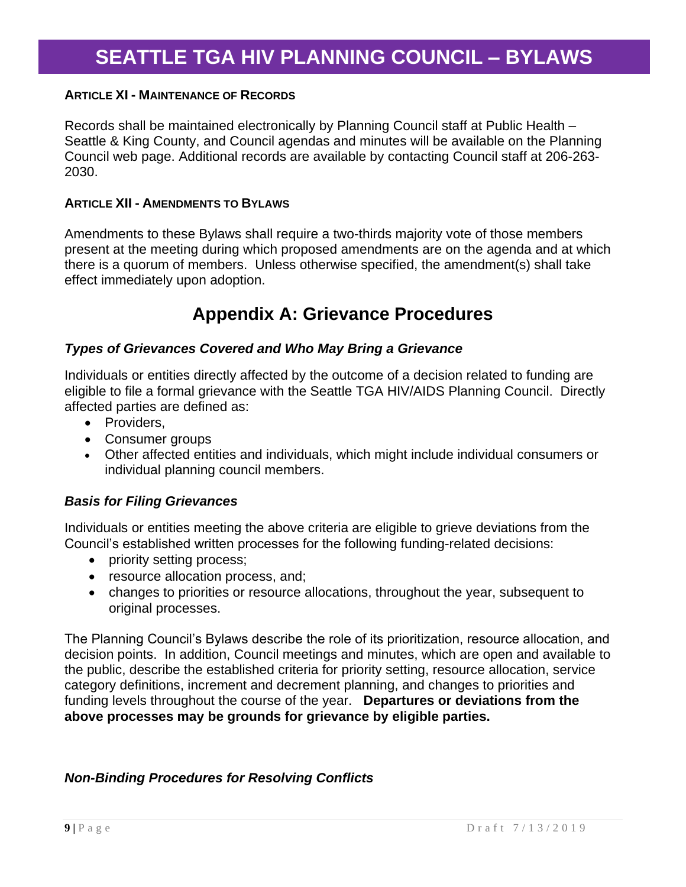#### **ARTICLE XI - MAINTENANCE OF RECORDS**

Records shall be maintained electronically by Planning Council staff at Public Health – Seattle & King County, and Council agendas and minutes will be available on the Planning Council web page. Additional records are available by contacting Council staff at 206-263- 2030.

#### **ARTICLE XII - AMENDMENTS TO BYLAWS**

Amendments to these Bylaws shall require a two-thirds majority vote of those members present at the meeting during which proposed amendments are on the agenda and at which there is a quorum of members. Unless otherwise specified, the amendment(s) shall take effect immediately upon adoption.

### **Appendix A: Grievance Procedures**

#### *Types of Grievances Covered and Who May Bring a Grievance*

Individuals or entities directly affected by the outcome of a decision related to funding are eligible to file a formal grievance with the Seattle TGA HIV/AIDS Planning Council. Directly affected parties are defined as:

- Providers,
- Consumer groups
- Other affected entities and individuals, which might include individual consumers or individual planning council members.

#### *Basis for Filing Grievances*

Individuals or entities meeting the above criteria are eligible to grieve deviations from the Council's established written processes for the following funding-related decisions:

- priority setting process;
- resource allocation process, and;
- changes to priorities or resource allocations, throughout the year, subsequent to original processes.

The Planning Council's Bylaws describe the role of its prioritization, resource allocation, and decision points. In addition, Council meetings and minutes, which are open and available to the public, describe the established criteria for priority setting, resource allocation, service category definitions, increment and decrement planning, and changes to priorities and funding levels throughout the course of the year. **Departures or deviations from the above processes may be grounds for grievance by eligible parties.**

#### *Non-Binding Procedures for Resolving Conflicts*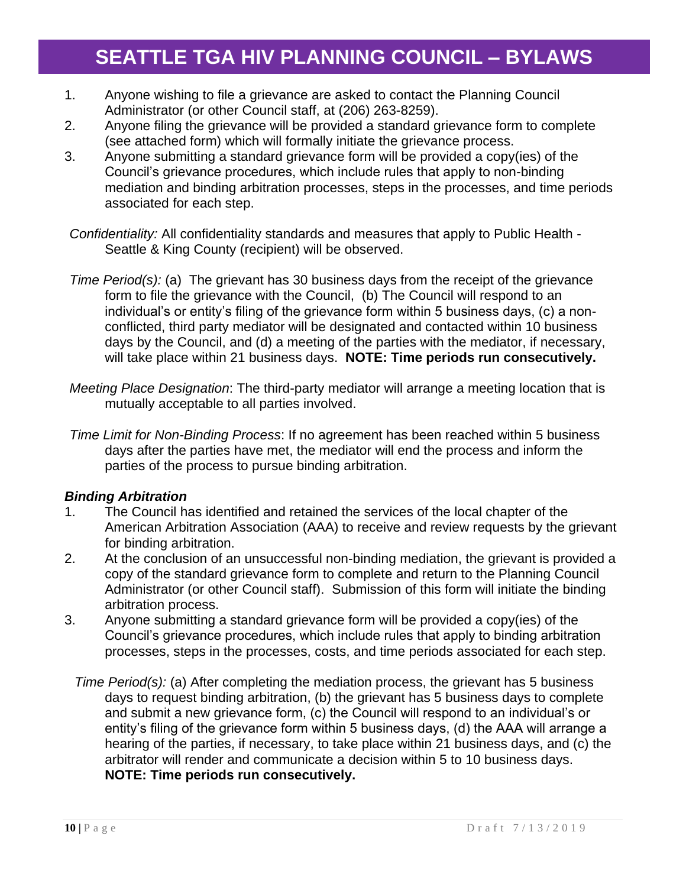- 1. Anyone wishing to file a grievance are asked to contact the Planning Council Administrator (or other Council staff, at (206) 263-8259).
- 2. Anyone filing the grievance will be provided a standard grievance form to complete (see attached form) which will formally initiate the grievance process.
- 3. Anyone submitting a standard grievance form will be provided a copy(ies) of the Council's grievance procedures, which include rules that apply to non-binding mediation and binding arbitration processes, steps in the processes, and time periods associated for each step.
- *Confidentiality:* All confidentiality standards and measures that apply to Public Health Seattle & King County (recipient) will be observed.
- *Time Period(s):* (a) The grievant has 30 business days from the receipt of the grievance form to file the grievance with the Council, (b) The Council will respond to an individual's or entity's filing of the grievance form within 5 business days, (c) a nonconflicted, third party mediator will be designated and contacted within 10 business days by the Council, and (d) a meeting of the parties with the mediator, if necessary, will take place within 21 business days. **NOTE: Time periods run consecutively.**
- *Meeting Place Designation*: The third-party mediator will arrange a meeting location that is mutually acceptable to all parties involved.
- *Time Limit for Non-Binding Process*: If no agreement has been reached within 5 business days after the parties have met, the mediator will end the process and inform the parties of the process to pursue binding arbitration.

### *Binding Arbitration*

- 1. The Council has identified and retained the services of the local chapter of the American Arbitration Association (AAA) to receive and review requests by the grievant for binding arbitration.
- 2. At the conclusion of an unsuccessful non-binding mediation, the grievant is provided a copy of the standard grievance form to complete and return to the Planning Council Administrator (or other Council staff). Submission of this form will initiate the binding arbitration process.
- 3. Anyone submitting a standard grievance form will be provided a copy(ies) of the Council's grievance procedures, which include rules that apply to binding arbitration processes, steps in the processes, costs, and time periods associated for each step.
	- *Time Period(s):* (a) After completing the mediation process, the grievant has 5 business days to request binding arbitration, (b) the grievant has 5 business days to complete and submit a new grievance form, (c) the Council will respond to an individual's or entity's filing of the grievance form within 5 business days, (d) the AAA will arrange a hearing of the parties, if necessary, to take place within 21 business days, and (c) the arbitrator will render and communicate a decision within 5 to 10 business days. **NOTE: Time periods run consecutively.**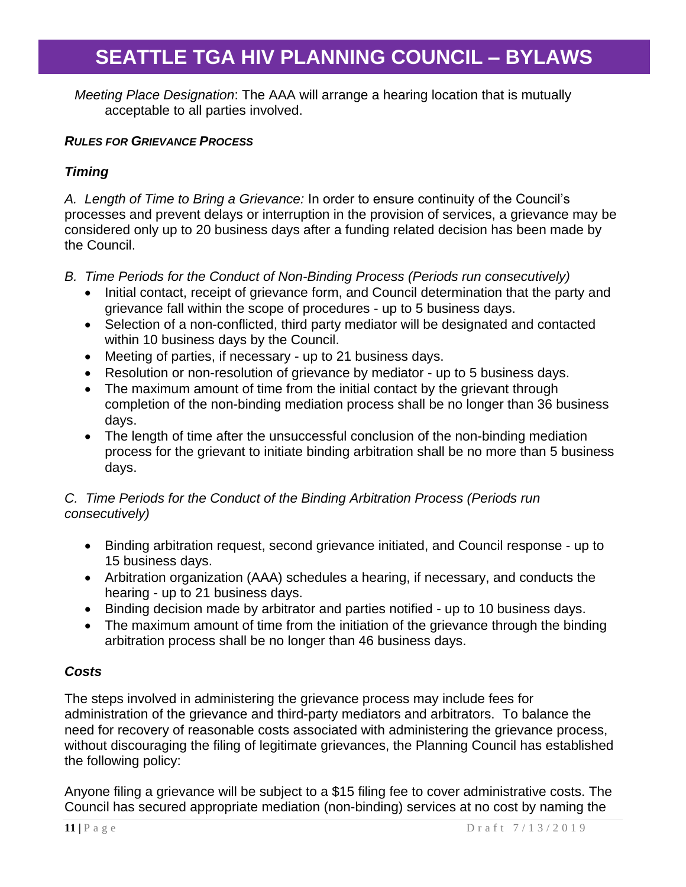*Meeting Place Designation*: The AAA will arrange a hearing location that is mutually acceptable to all parties involved.

### *RULES FOR GRIEVANCE PROCESS*

### *Timing*

*A. Length of Time to Bring a Grievance:* In order to ensure continuity of the Council's processes and prevent delays or interruption in the provision of services, a grievance may be considered only up to 20 business days after a funding related decision has been made by the Council.

- *B. Time Periods for the Conduct of Non-Binding Process (Periods run consecutively)*
	- Initial contact, receipt of grievance form, and Council determination that the party and grievance fall within the scope of procedures - up to 5 business days.
	- Selection of a non-conflicted, third party mediator will be designated and contacted within 10 business days by the Council.
	- Meeting of parties, if necessary up to 21 business days.
	- Resolution or non-resolution of grievance by mediator up to 5 business days.
	- The maximum amount of time from the initial contact by the grievant through completion of the non-binding mediation process shall be no longer than 36 business days.
	- The length of time after the unsuccessful conclusion of the non-binding mediation process for the grievant to initiate binding arbitration shall be no more than 5 business days.

### *C. Time Periods for the Conduct of the Binding Arbitration Process (Periods run consecutively)*

- Binding arbitration request, second grievance initiated, and Council response up to 15 business days.
- Arbitration organization (AAA) schedules a hearing, if necessary, and conducts the hearing - up to 21 business days.
- Binding decision made by arbitrator and parties notified up to 10 business days.
- The maximum amount of time from the initiation of the grievance through the binding arbitration process shall be no longer than 46 business days.

#### *Costs*

The steps involved in administering the grievance process may include fees for administration of the grievance and third-party mediators and arbitrators. To balance the need for recovery of reasonable costs associated with administering the grievance process, without discouraging the filing of legitimate grievances, the Planning Council has established the following policy:

Anyone filing a grievance will be subject to a \$15 filing fee to cover administrative costs. The Council has secured appropriate mediation (non-binding) services at no cost by naming the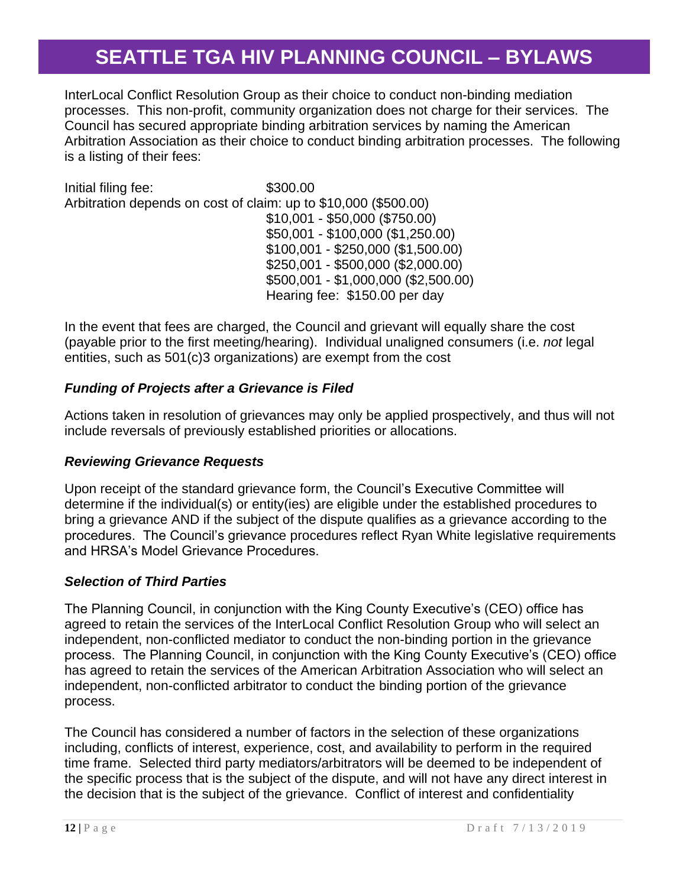InterLocal Conflict Resolution Group as their choice to conduct non-binding mediation processes. This non-profit, community organization does not charge for their services. The Council has secured appropriate binding arbitration services by naming the American Arbitration Association as their choice to conduct binding arbitration processes. The following is a listing of their fees:

Initial filing fee: \$300.00 Arbitration depends on cost of claim: up to \$10,000 (\$500.00) \$10,001 - \$50,000 (\$750.00) \$50,001 - \$100,000 (\$1,250.00) \$100,001 - \$250,000 (\$1,500.00) \$250,001 - \$500,000 (\$2,000.00) \$500,001 - \$1,000,000 (\$2,500.00) Hearing fee: \$150.00 per day

In the event that fees are charged, the Council and grievant will equally share the cost (payable prior to the first meeting/hearing). Individual unaligned consumers (i.e. *not* legal entities, such as 501(c)3 organizations) are exempt from the cost

### *Funding of Projects after a Grievance is Filed*

Actions taken in resolution of grievances may only be applied prospectively, and thus will not include reversals of previously established priorities or allocations.

#### *Reviewing Grievance Requests*

Upon receipt of the standard grievance form, the Council's Executive Committee will determine if the individual(s) or entity(ies) are eligible under the established procedures to bring a grievance AND if the subject of the dispute qualifies as a grievance according to the procedures. The Council's grievance procedures reflect Ryan White legislative requirements and HRSA's Model Grievance Procedures.

#### *Selection of Third Parties*

The Planning Council, in conjunction with the King County Executive's (CEO) office has agreed to retain the services of the InterLocal Conflict Resolution Group who will select an independent, non-conflicted mediator to conduct the non-binding portion in the grievance process. The Planning Council, in conjunction with the King County Executive's (CEO) office has agreed to retain the services of the American Arbitration Association who will select an independent, non-conflicted arbitrator to conduct the binding portion of the grievance process.

The Council has considered a number of factors in the selection of these organizations including, conflicts of interest, experience, cost, and availability to perform in the required time frame. Selected third party mediators/arbitrators will be deemed to be independent of the specific process that is the subject of the dispute, and will not have any direct interest in the decision that is the subject of the grievance. Conflict of interest and confidentiality